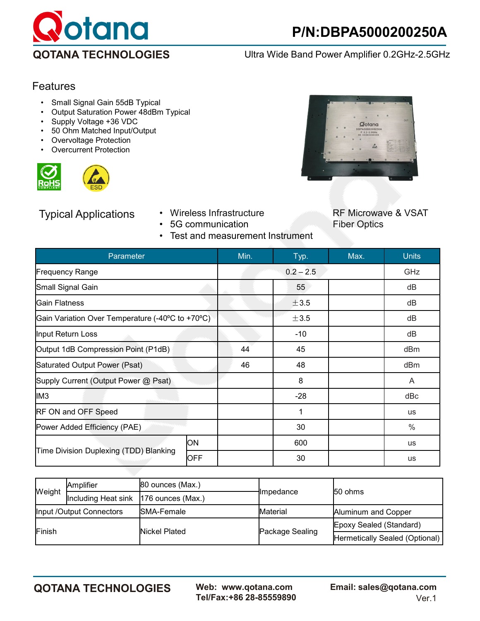

**QOTANA TECHNOLOGIES** Ultra Wide Band Power Amplifier 0.2GHz-2.5GHz

## Features

- Small Signal Gain 55dB Typical<br>• Output Saturation Power 48dBm
- Output Saturation Power 48dBm Typical
- Supply Voltage +36 VDC
- 50 Ohm Matched Input/Output
- **Overvoltage Protection**
- **Overcurrent Protection**





- 5G communication
- Test and measurement Instrument



Typical Applications • Wireless Infrastructure RF Microwave & VSAT<br>• 5G communication • Fiber Optics

| Parameter                                        | Min.       | Typ.        | Max.  | <b>Units</b> |           |
|--------------------------------------------------|------------|-------------|-------|--------------|-----------|
| <b>Frequency Range</b>                           |            | $0.2 - 2.5$ |       | GHz          |           |
| Small Signal Gain                                |            | 55          |       | dB           |           |
| Gain Flatness                                    |            | ±3.5        |       | dB           |           |
| Gain Variation Over Temperature (-40°C to +70°C) |            | ±3.5        |       | dB           |           |
| Input Return Loss                                |            | $-10$       |       | dB           |           |
| Output 1dB Compression Point (P1dB)              | 44         | 45          |       | dBm          |           |
| Saturated Output Power (Psat)                    | 46         | 48          |       | dBm          |           |
| Supply Current (Output Power @ Psat)             |            | 8           |       | A            |           |
| IM <sub>3</sub>                                  |            |             | $-28$ |              | dBc       |
| <b>RF ON and OFF Speed</b>                       |            |             |       | <b>us</b>    |           |
| Power Added Efficiency (PAE)                     |            |             | 30    |              | $\%$      |
| Time Division Duplexing (TDD) Blanking           | <b>ON</b>  |             | 600   |              | <b>us</b> |
|                                                  | <b>OFF</b> |             | 30    |              | <b>us</b> |

| Weight                   | Amplifier                               | $ 80$ ounces (Max.) |                        | 150 ohms                       |  |
|--------------------------|-----------------------------------------|---------------------|------------------------|--------------------------------|--|
|                          | Including Heat sink   176 ounces (Max.) |                     | <del>I</del> Impedance |                                |  |
| Input /Output Connectors |                                         | <b>ISMA-Female</b>  | <b>Material</b>        | Aluminum and Copper            |  |
| Finish                   |                                         | Nickel Plated       |                        | Epoxy Sealed (Standard)        |  |
|                          |                                         |                     | Package Sealing        | Hermetically Sealed (Optional) |  |

**QOTANA TECHNOLOGIES Web: www.qotana.com Email: sales@qotana.com**  Tel/Fax:+86 28-85559890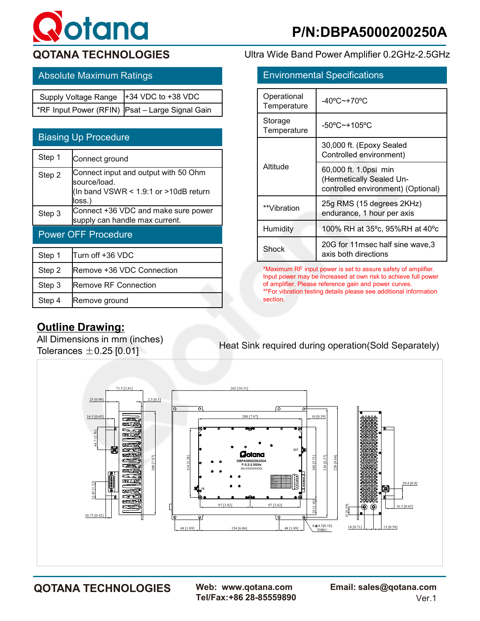# **otana**

## Absolute Maximum Ratings

| Supply Voltage Range  +34 VDC to +38 VDC |                                                 |
|------------------------------------------|-------------------------------------------------|
|                                          | *RF Input Power (RFIN) Psat - Large Signal Gain |

| <b>Biasing Up Procedure</b> |                                                                                                             |  |  |  |
|-----------------------------|-------------------------------------------------------------------------------------------------------------|--|--|--|
| Step 1                      | Connect ground                                                                                              |  |  |  |
| Step 2                      | Connect input and output with 50 Ohm<br>source/load.<br>(In band $VSWR < 1.9:1$ or $>10dB$ return<br>loss.) |  |  |  |
| Step 3                      | Connect +36 VDC and make sure power<br>supply can handle max current.                                       |  |  |  |
| <b>Power OFF Procedure</b>  |                                                                                                             |  |  |  |
| Step 1                      | Turn off +36 VDC                                                                                            |  |  |  |
| Step 2                      | Remove +36 VDC Connection                                                                                   |  |  |  |
| Step 3                      | Remove RF Connection                                                                                        |  |  |  |
| Step 4                      |                                                                                                             |  |  |  |

## **QOTANA TECHNOLOGIES** Ultra Wide Band Power Amplifier 0.2GHz-2.5GHz

| <b>Environmental Specifications</b> |                                                                                         |  |  |
|-------------------------------------|-----------------------------------------------------------------------------------------|--|--|
| Operational<br>Temperature          | -40°C~+70°C                                                                             |  |  |
| Storage<br>Temperature              | $-50^{\circ}$ C $-+105^{\circ}$ C                                                       |  |  |
| Altitude                            | 30,000 ft. (Epoxy Sealed<br>Controlled environment)                                     |  |  |
|                                     | 60,000 ft. 1.0psi min<br>(Hermetically Sealed Un-<br>controlled environment) (Optional) |  |  |
| **Vibration                         | 25g RMS (15 degrees 2KHz)<br>endurance, 1 hour per axis                                 |  |  |
| Humidity                            | 100% RH at 35°c, 95%RH at 40°c                                                          |  |  |
| Shock                               | 20G for 11msec half sine wave,3<br>axis both directions                                 |  |  |

\*Maximum RF input power is set to assure safety of amplifier. Input power may be increased at own risk to achieve full power of amplifier. Please reference gain and power curves. \*\*For vibration testing details please see additional information section.

## **Outline Drawing:**

All Dimensions in mm (inches) Tolerances  $\pm 0.25$  [0.01]

## Heat Sink required during operation(Sold Separately)



Tel/Fax:+86 28-85559890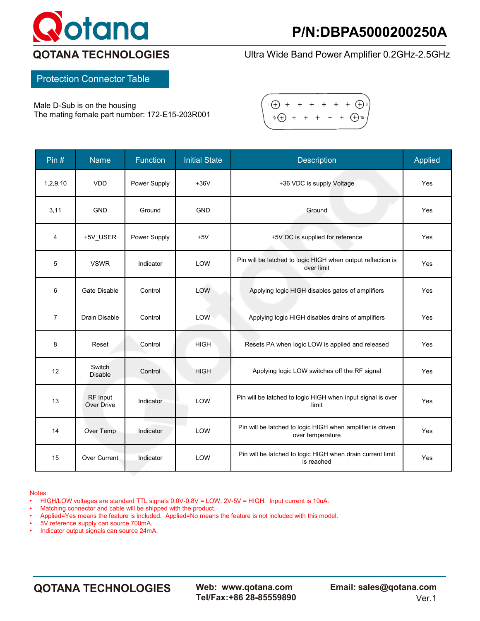

**QOTANA TECHNOLOGIES** Ultra Wide Band Power Amplifier 0.2GHz-2.5GHz

Protection Connector Table

Male D-Sub is on the housing The mating female part number: 172-E15-203R001



| Pin $#$        | <b>Name</b>                          | <b>Function</b> | <b>Initial State</b> | <b>Description</b>                                                             | Applied |
|----------------|--------------------------------------|-----------------|----------------------|--------------------------------------------------------------------------------|---------|
| 1, 2, 9, 10    | <b>VDD</b>                           | Power Supply    | $+36V$               | +36 VDC is supply Voltage                                                      | Yes     |
| 3,11           | <b>GND</b>                           | Ground          | <b>GND</b>           | Ground                                                                         | Yes     |
| $\overline{4}$ | +5V_USER                             | Power Supply    | $+5V$                | +5V DC is supplied for reference                                               | Yes     |
| 5              | <b>VSWR</b>                          | Indicator       | LOW                  | Pin will be latched to logic HIGH when output reflection is<br>over limit      | Yes     |
| $6\phantom{1}$ | <b>Gate Disable</b>                  | Control         | LOW                  | Applying logic HIGH disables gates of amplifiers                               | Yes     |
| $\overline{7}$ | <b>Drain Disable</b>                 | Control         | <b>LOW</b>           | Applying logic HIGH disables drains of amplifiers                              | Yes     |
| 8              | Reset                                | Control         | <b>HIGH</b>          | Resets PA when logic LOW is applied and released                               | Yes     |
| 12             | Switch<br><b>Disable</b>             | Control         | <b>HIGH</b>          | Applying logic LOW switches off the RF signal                                  | Yes     |
| 13             | <b>RF</b> Input<br><b>Over Drive</b> | Indicator       | LOW                  | Pin will be latched to logic HIGH when input signal is over<br>limit           | Yes     |
| 14             | Over Temp                            | Indicator       | LOW                  | Pin will be latched to logic HIGH when amplifier is driven<br>over temperature | Yes     |
| 15             | Over Current                         | Indicator       | LOW                  | Pin will be latched to logic HIGH when drain current limit<br>is reached       | Yes     |

Notes:

• HIGH/LOW voltages are standard TTL signals 0.0V-0.8V = LOW. 2V-5V = HIGH. Input current is 10uA.

• Matching connector and cable will be shipped with the product.

• Applied=Yes means the feature is included. Applied=No means the feature is not included with this model.

• 5V reference supply can source 700mA.

• Indicator output signals can source 24mA.

**QOTANA TECHNOLOGIES Web: www.qotana.com Email: sales@qotana.com**  Tel/Fax:+86 28-85559890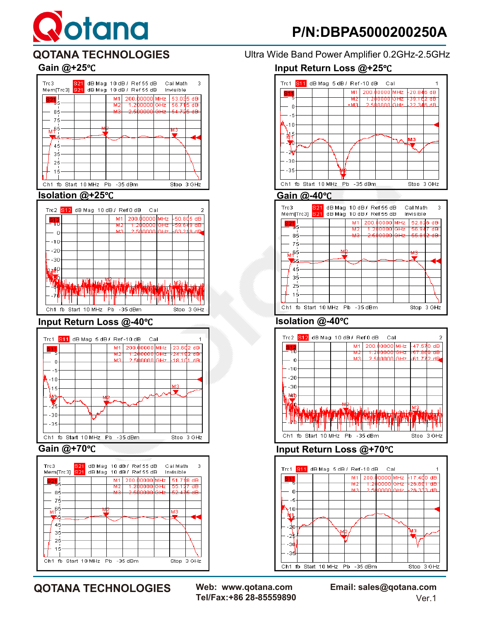# Rotana





### **Input Return Loss @-40**℃ **Isolation @-40**℃





**QOTANA TECHNOLOGIES** Ultra Wide Band Power Amplifier 0.2GHz-2.5GHz

## **Gain @+25**℃ **Input Return Loss @+25**℃







## **Gain @+70**℃ **Input Return Loss @+70**℃



Tel/Fax:+86 28-85559890

**QOTANA TECHNOLOGIES Web: www.qotana.com Email: sales@qotana.com**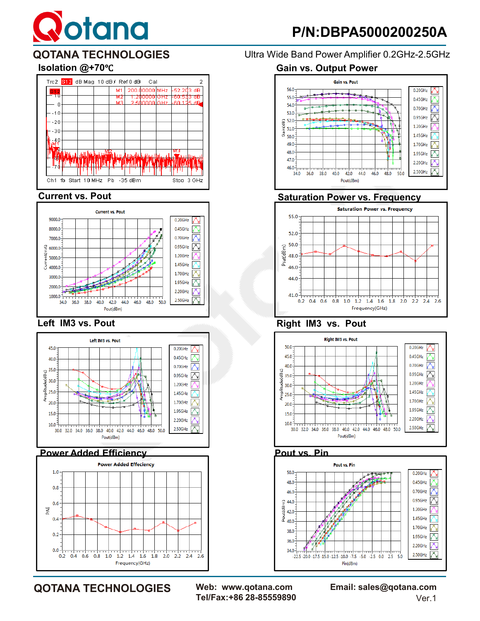# **Q**otana



#### **Current vs. Pout**



#### **Left IM3 vs. Pout**





**QOTANA TECHNOLOGIES Web: www.qotana.com Email: sales@qotana.com**  Tel/Fax:+86 28-85559890

**QOTANA TECHNOLOGIES** Ultra Wide Band Power Amplifier 0.2GHz-2.5GHz

## **Isolation @+70**℃ **Gain vs. Output Power**



## **Saturation Power vs. Frequency**



### **Right IM3 vs. Pout**



#### **Pout vs. Pin**

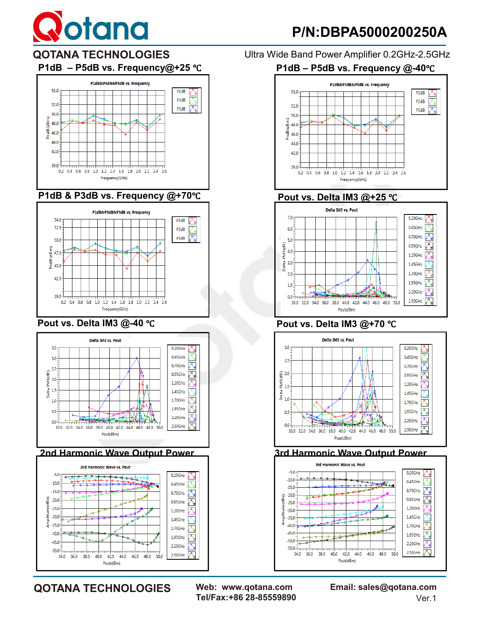

## **P/N:DBPA5000200250A**





#### **P1dB & P3dB vs. Frequency @+70**℃



### **Pout vs. Delta IM3 @-40** ℃





 $2.50$ GHz 因

Pout(dBm)

 $-50.0$ 

34.0

 $36.0$ 38.0 40.0 42.0 44.0 46.0 48.0 50.0

**QOTANA TECHNOLOGIES** Ultra Wide Band Power Amplifier 0.2GHz-2.5GHz

#### **P1dB – P5dB vs. Frequency@+25** ℃ **P1dB – P5dB vs. Frequency @-40**℃



## **Pout vs. Delta IM3 @+25 ℃**<br>Delta IM3 vs. Pout



#### **Pout vs. Delta IM3 @+70** ℃



#### **3rd Harmonic Wave Output Power**



**QOTANA TECHNOLOGIES Web: www.qotana.com Email: sales@qotana.com**  Tel/Fax:+86 28-85559890